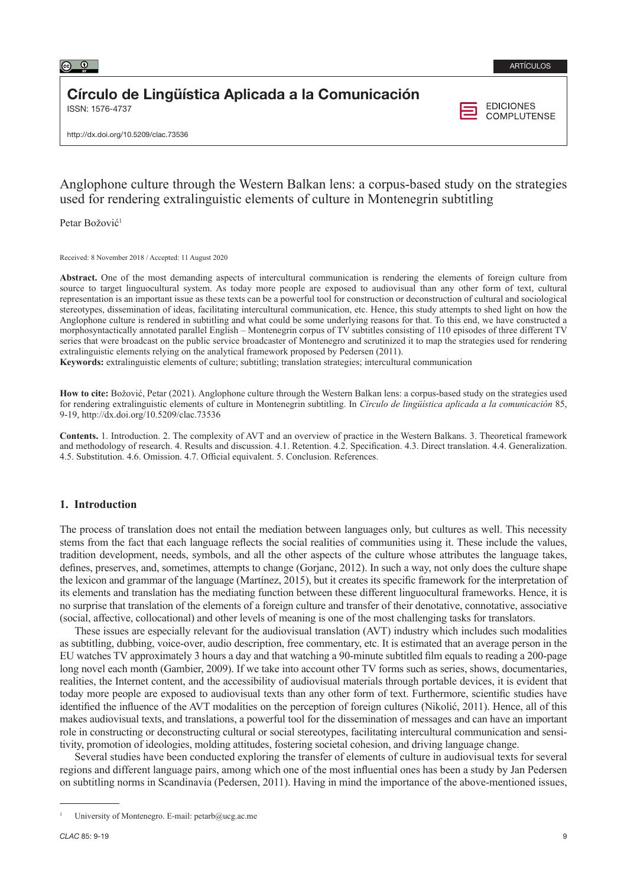

# Círculo de Lingüística Aplicada a la Comunicación

ISSN: 1576-4737

**EDICIONES COMPLUTENSE** 

http://dx.doi.org/10.5209/clac.73536

## Anglophone culture through the Western Balkan lens: a corpus-based study on the strategies used for rendering extralinguistic elements of culture in Montenegrin subtitling

Petar Božović<sup>1</sup>

Received: 8 November 2018 / Accepted: 11 August 2020

**Abstract.** One of the most demanding aspects of intercultural communication is rendering the elements of foreign culture from source to target linguocultural system. As today more people are exposed to audiovisual than any other form of text, cultural representation is an important issue as these texts can be a powerful tool for construction or deconstruction of cultural and sociological stereotypes, dissemination of ideas, facilitating intercultural communication, etc. Hence, this study attempts to shed light on how the Anglophone culture is rendered in subtitling and what could be some underlying reasons for that. To this end, we have constructed a morphosyntactically annotated parallel English – Montenegrin corpus of TV subtitles consisting of 110 episodes of three different TV series that were broadcast on the public service broadcaster of Montenegro and scrutinized it to map the strategies used for rendering extralinguistic elements relying on the analytical framework proposed by Pedersen (2011).

**Keywords:** extralinguistic elements of culture; subtitling; translation strategies; intercultural communication

**How to cite:** Božović, Petar (2021). Anglophone culture through the Western Balkan lens: a corpus-based study on the strategies used for rendering extralinguistic elements of culture in Montenegrin subtitling. In *Círculo de lingüística aplicada a la comunicación* 85, 9-19, http://dx.doi.org/10.5209/clac.73536

**Contents.** 1. Introduction. 2. The complexity of AVT and an overview of practice in the Western Balkans. 3. Theoretical framework and methodology of research. 4. Results and discussion. 4.1. Retention. 4.2. Specification. 4.3. Direct translation. 4.4. Generalization. 4.5. Substitution. 4.6. Omission. 4.7. Official equivalent. 5. Conclusion. References.

### **1. Introduction**

The process of translation does not entail the mediation between languages only, but cultures as well. This necessity stems from the fact that each language reflects the social realities of communities using it. These include the values, tradition development, needs, symbols, and all the other aspects of the culture whose attributes the language takes, defines, preserves, and, sometimes, attempts to change (Gorjanc, 2012). In such a way, not only does the culture shape the lexicon and grammar of the language (Martínez, 2015), but it creates its specific framework for the interpretation of its elements and translation has the mediating function between these different linguocultural frameworks. Hence, it is no surprise that translation of the elements of a foreign culture and transfer of their denotative, connotative, associative (social, affective, collocational) and other levels of meaning is one of the most challenging tasks for translators.

These issues are especially relevant for the audiovisual translation (AVT) industry which includes such modalities as subtitling, dubbing, voice-over, audio description, free commentary, etc. It is estimated that an average person in the EU watches TV approximately 3 hours a day and that watching a 90-minute subtitled film equals to reading a 200-page long novel each month (Gambier, 2009). If we take into account other TV forms such as series, shows, documentaries, realities, the Internet content, and the accessibility of audiovisual materials through portable devices, it is evident that today more people are exposed to audiovisual texts than any other form of text. Furthermore, scientific studies have identified the influence of the AVT modalities on the perception of foreign cultures (Nikolić, 2011). Hence, all of this makes audiovisual texts, and translations, a powerful tool for the dissemination of messages and can have an important role in constructing or deconstructing cultural or social stereotypes, facilitating intercultural communication and sensitivity, promotion of ideologies, molding attitudes, fostering societal cohesion, and driving language change.

Several studies have been conducted exploring the transfer of elements of culture in audiovisual texts for several regions and different language pairs, among which one of the most influential ones has been a study by Jan Pedersen on subtitling norms in Scandinavia (Pedersen, 2011). Having in mind the importance of the above-mentioned issues,

University of Montenegro. E-mail: [petarb@ucg.ac.me](mailto:petarb@ucg.ac.me)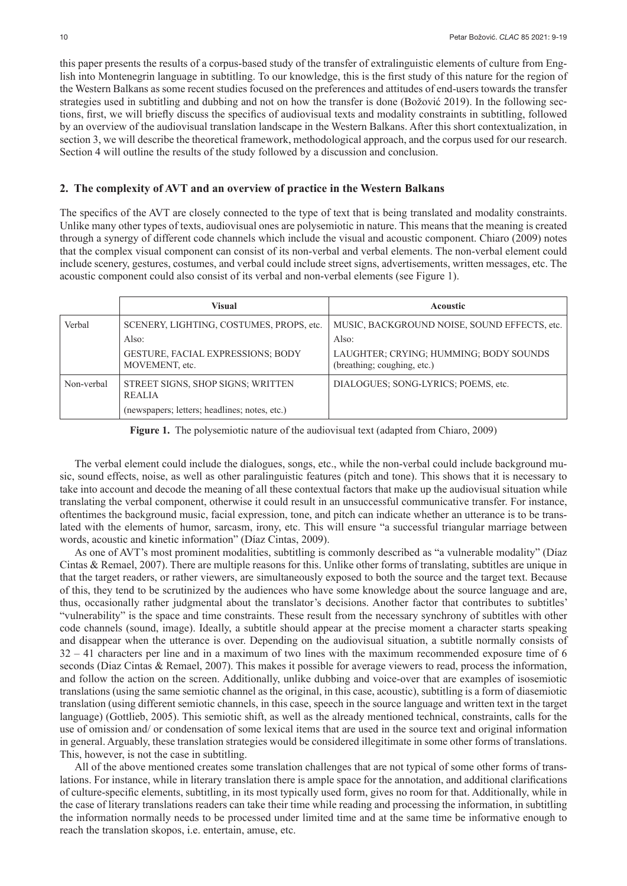this paper presents the results of a corpus-based study of the transfer of extralinguistic elements of culture from English into Montenegrin language in subtitling. To our knowledge, this is the first study of this nature for the region of the Western Balkans as some recent studies focused on the preferences and attitudes of end-users towards the transfer strategies used in subtitling and dubbing and not on how the transfer is done (Božović 2019). In the following sections, first, we will briefly discuss the specifics of audiovisual texts and modality constraints in subtitling, followed by an overview of the audiovisual translation landscape in the Western Balkans. After this short contextualization, in section 3, we will describe the theoretical framework, methodological approach, and the corpus used for our research. Section 4 will outline the results of the study followed by a discussion and conclusion.

#### **2. The complexity of AVT and an overview of practice in the Western Balkans**

The specifics of the AVT are closely connected to the type of text that is being translated and modality constraints. Unlike many other types of texts, audiovisual ones are polysemiotic in nature. This means that the meaning is created through a synergy of different code channels which include the visual and acoustic component. Chiaro (2009) notes that the complex visual component can consist of its non-verbal and verbal elements. The non-verbal element could include scenery, gestures, costumes, and verbal could include street signs, advertisements, written messages, etc. The acoustic component could also consist of its verbal and non-verbal elements (see Figure 1).

|            | Visual                                              | <b>Acoustic</b>                                                       |
|------------|-----------------------------------------------------|-----------------------------------------------------------------------|
| Verbal     | SCENERY, LIGHTING, COSTUMES, PROPS, etc.            | MUSIC, BACKGROUND NOISE, SOUND EFFECTS, etc.                          |
|            | Also:                                               | Also:                                                                 |
|            | GESTURE, FACIAL EXPRESSIONS; BODY<br>MOVEMENT, etc. | LAUGHTER: CRYING: HUMMING: BODY SOUNDS<br>(breathing; coughing, etc.) |
| Non-verbal | STREET SIGNS, SHOP SIGNS; WRITTEN<br><b>REALIA</b>  | DIALOGUES: SONG-LYRICS: POEMS, etc.                                   |
|            | (newspapers; letters; headlines; notes, etc.)       |                                                                       |

**Figure 1.** The polysemiotic nature of the audiovisual text (adapted from Chiaro, 2009)

The verbal element could include the dialogues, songs, etc., while the non-verbal could include background music, sound effects, noise, as well as other paralinguistic features (pitch and tone). This shows that it is necessary to take into account and decode the meaning of all these contextual factors that make up the audiovisual situation while translating the verbal component, otherwise it could result in an unsuccessful communicative transfer. For instance, oftentimes the background music, facial expression, tone, and pitch can indicate whether an utterance is to be translated with the elements of humor, sarcasm, irony, etc. This will ensure "a successful triangular marriage between words, acoustic and kinetic information" (Díaz Cintas, 2009).

As one of AVT's most prominent modalities, subtitling is commonly described as "a vulnerable modality" (Díaz Cintas & Remael, 2007). There are multiple reasons for this. Unlike other forms of translating, subtitles are unique in that the target readers, or rather viewers, are simultaneously exposed to both the source and the target text. Because of this, they tend to be scrutinized by the audiences who have some knowledge about the source language and are, thus, occasionally rather judgmental about the translator's decisions. Another factor that contributes to subtitles' "vulnerability" is the space and time constraints. These result from the necessary synchrony of subtitles with other code channels (sound, image). Ideally, a subtitle should appear at the precise moment a character starts speaking and disappear when the utterance is over. Depending on the audiovisual situation, a subtitle normally consists of  $32 - 41$  characters per line and in a maximum of two lines with the maximum recommended exposure time of 6 seconds (Diaz Cintas & Remael, 2007). This makes it possible for average viewers to read, process the information, and follow the action on the screen. Additionally, unlike dubbing and voice-over that are examples of isosemiotic translations (using the same semiotic channel as the original, in this case, acoustic), subtitling is a form of diasemiotic translation (using different semiotic channels, in this case, speech in the source language and written text in the target language) (Gottlieb, 2005). This semiotic shift, as well as the already mentioned technical, constraints, calls for the use of omission and/ or condensation of some lexical items that are used in the source text and original information in general. Arguably, these translation strategies would be considered illegitimate in some other forms of translations. This, however, is not the case in subtitling.

All of the above mentioned creates some translation challenges that are not typical of some other forms of translations. For instance, while in literary translation there is ample space for the annotation, and additional clarifications of culture-specific elements, subtitling, in its most typically used form, gives no room for that. Additionally, while in the case of literary translations readers can take their time while reading and processing the information, in subtitling the information normally needs to be processed under limited time and at the same time be informative enough to reach the translation skopos, i.e. entertain, amuse, etc.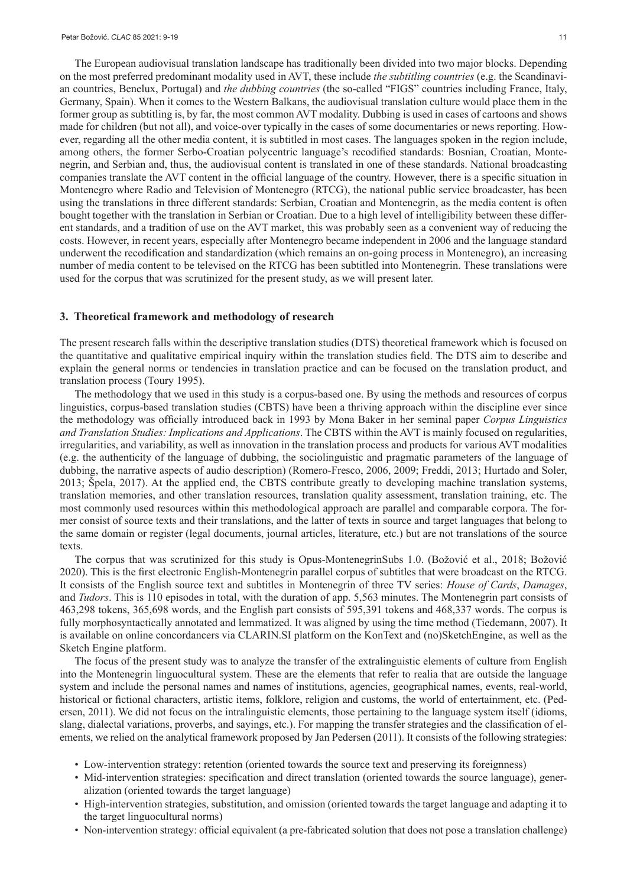The European audiovisual translation landscape has traditionally been divided into two major blocks. Depending on the most preferred predominant modality used in AVT, these include *the subtitling countries* (e.g. the Scandinavian countries, Benelux, Portugal) and *the dubbing countries* (the so-called "FIGS" countries including France, Italy, Germany, Spain). When it comes to the Western Balkans, the audiovisual translation culture would place them in the former group as subtitling is, by far, the most common AVT modality. Dubbing is used in cases of cartoons and shows made for children (but not all), and voice-over typically in the cases of some documentaries or news reporting. However, regarding all the other media content, it is subtitled in most cases. The languages spoken in the region include, among others, the former Serbo-Croatian polycentric language's recodified standards: Bosnian, Croatian, Montenegrin, and Serbian and, thus, the audiovisual content is translated in one of these standards. National broadcasting companies translate the AVT content in the official language of the country. However, there is a specific situation in Montenegro where Radio and Television of Montenegro (RTCG), the national public service broadcaster, has been using the translations in three different standards: Serbian, Croatian and Montenegrin, as the media content is often bought together with the translation in Serbian or Croatian. Due to a high level of intelligibility between these different standards, and a tradition of use on the AVT market, this was probably seen as a convenient way of reducing the costs. However, in recent years, especially after Montenegro became independent in 2006 and the language standard underwent the recodification and standardization (which remains an on-going process in Montenegro), an increasing number of media content to be televised on the RTCG has been subtitled into Montenegrin. These translations were used for the corpus that was scrutinized for the present study, as we will present later.

#### **3. Theoretical framework and methodology of research**

The present research falls within the descriptive translation studies (DTS) theoretical framework which is focused on the quantitative and qualitative empirical inquiry within the translation studies field. The DTS aim to describe and explain the general norms or tendencies in translation practice and can be focused on the translation product, and translation process (Toury 1995).

The methodology that we used in this study is a corpus-based one. By using the methods and resources of corpus linguistics, corpus-based translation studies (CBTS) have been a thriving approach within the discipline ever since the methodology was officially introduced back in 1993 by Mona Baker in her seminal paper *Corpus Linguistics and Translation Studies: Implications and Applications*. The CBTS within the AVT is mainly focused on regularities, irregularities, and variability, as well as innovation in the translation process and products for various AVT modalities (e.g. the authenticity of the language of dubbing, the sociolinguistic and pragmatic parameters of the language of dubbing, the narrative aspects of audio description) (Romero-Fresco, 2006, 2009; Freddi, 2013; Hurtado and Soler, 2013; Špela, 2017). At the applied end, the CBTS contribute greatly to developing machine translation systems, translation memories, and other translation resources, translation quality assessment, translation training, etc. The most commonly used resources within this methodological approach are parallel and comparable corpora. The former consist of source texts and their translations, and the latter of texts in source and target languages that belong to the same domain or register (legal documents, journal articles, literature, etc.) but are not translations of the source texts.

The corpus that was scrutinized for this study is Opus-MontenegrinSubs 1.0. (Božović et al., 2018; Božović 2020). This is the first electronic English-Montenegrin parallel corpus of subtitles that were broadcast on the RTCG. It consists of the English source text and subtitles in Montenegrin of three TV series: *House of Cards*, *Damages*, and *Tudors*. This is 110 episodes in total, with the duration of app. 5,563 minutes. The Montenegrin part consists of 463,298 tokens, 365,698 words, and the English part consists of 595,391 tokens and 468,337 words. The corpus is fully morphosyntactically annotated and lemmatized. It was aligned by using the time method (Tiedemann, 2007). It is available on online concordancers via CLARIN.SI platform on the KonText and (no)SketchEngine, as well as the Sketch Engine platform.

The focus of the present study was to analyze the transfer of the extralinguistic elements of culture from English into the Montenegrin linguocultural system. These are the elements that refer to realia that are outside the language system and include the personal names and names of institutions, agencies, geographical names, events, real-world, historical or fictional characters, artistic items, folklore, religion and customs, the world of entertainment, etc. (Pedersen, 2011). We did not focus on the intralinguistic elements, those pertaining to the language system itself (idioms, slang, dialectal variations, proverbs, and sayings, etc.). For mapping the transfer strategies and the classification of elements, we relied on the analytical framework proposed by Jan Pedersen (2011). It consists of the following strategies:

- Low-intervention strategy: retention (oriented towards the source text and preserving its foreignness)
- Mid-intervention strategies: specification and direct translation (oriented towards the source language), generalization (oriented towards the target language)
- High-intervention strategies, substitution, and omission (oriented towards the target language and adapting it to the target linguocultural norms)
- Non-intervention strategy: official equivalent (a pre-fabricated solution that does not pose a translation challenge)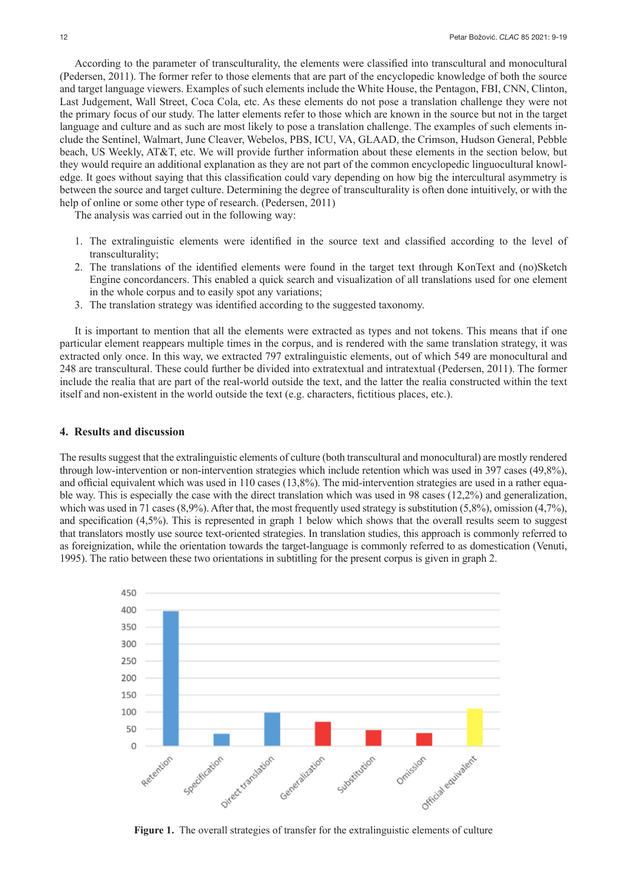According to the parameter of transculturality, the elements were classified into transcultural and monocultural (Pedersen, 2011). The former refer to those elements that are part of the encyclopedic knowledge of both the source and target language viewers. Examples of such elements include the White House, the Pentagon, FBI, CNN, Clinton, Last Judgement, Wall Street, Coca Cola, etc. As these elements do not pose a translation challenge they were not the primary focus of our study. The latter elements refer to those which are known in the source but not in the target language and culture and as such are most likely to pose a translation challenge. The examples of such elements include the Sentinel, Walmart, June Cleaver, Webelos, PBS, ICU, VA, GLAAD, the Crimson, Hudson General, Pebble beach, US Weekly, AT&T, etc. We will provide further information about these elements in the section below, but they would require an additional explanation as they are not part of the common encyclopedic linguocultural knowledge. It goes without saying that this classification could vary depending on how big the intercultural asymmetry is between the source and target culture. Determining the degree of transculturality is often done intuitively, or with the help of online or some other type of research. (Pedersen, 2011)

The analysis was carried out in the following way:

- 1. The extralinguistic elements were identified in the source text and classified according to the level of transculturality;
- 2. The translations of the identified elements were found in the target text through KonText and (no)Sketch Engine concordancers. This enabled a quick search and visualization of all translations used for one element in the whole corpus and to easily spot any variations;
- 3. The translation strategy was identified according to the suggested taxonomy.

It is important to mention that all the elements were extracted as types and not tokens. This means that if one particular element reappears multiple times in the corpus, and is rendered with the same translation strategy, it was extracted only once. In this way, we extracted 797 extralinguistic elements, out of which 549 are monocultural and 248 are transcultural. These could further be divided into extratextual and intratextual (Pedersen, 2011). The former include the realia that are part of the real-world outside the text, and the latter the realia constructed within the text itself and non-existent in the world outside the text (e.g. characters, fictitious places, etc.).

#### **4. Results and discussion**

The results suggest that the extralinguistic elements of culture (both transcultural and monocultural) are mostly rendered through low-intervention or non-intervention strategies which include retention which was used in 397 cases (49,8%), and official equivalent which was used in 110 cases (13,8%). The mid-intervention strategies are used in a rather equable way. This is especially the case with the direct translation which was used in 98 cases (12,2%) and generalization, which was used in 71 cases (8,9%). After that, the most frequently used strategy is substitution (5,8%), omission (4,7%), and specification (4,5%). This is represented in graph 1 below which shows that the overall results seem to suggest that translators mostly use source text-oriented strategies. In translation studies, this approach is commonly referred to as foreignization, while the orientation towards the target-language is commonly referred to as domestication (Venuti, 1995). The ratio between these two orientations in subtitling for the present corpus is given in graph 2.



**Figure 1.** The overall strategies of transfer for the extralinguistic elements of culture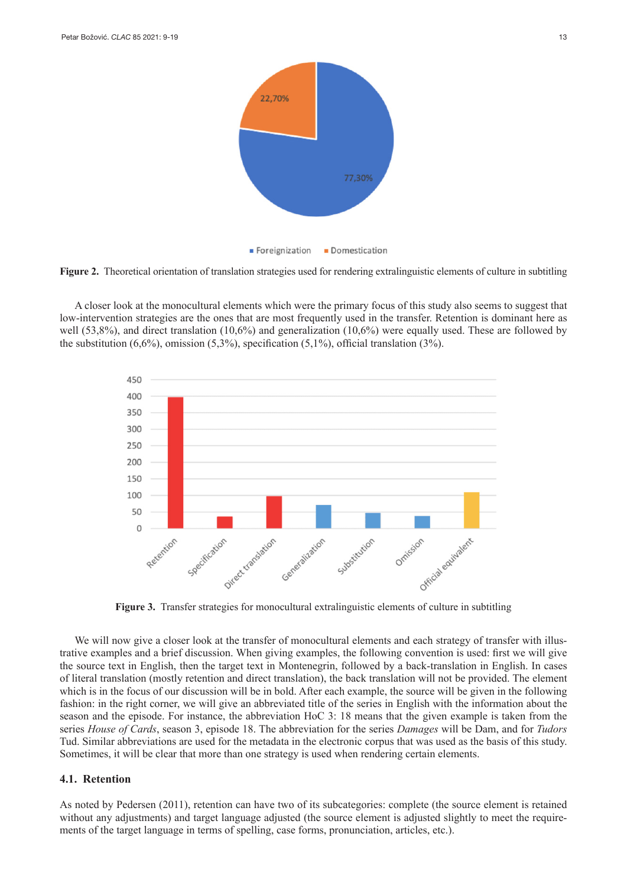



A closer look at the monocultural elements which were the primary focus of this study also seems to suggest that low-intervention strategies are the ones that are most frequently used in the transfer. Retention is dominant here as well (53,8%), and direct translation (10,6%) and generalization (10,6%) were equally used. These are followed by the substitution  $(6,6\%)$ , omission  $(5,3\%)$ , specification  $(5,1\%)$ , official translation  $(3\%)$ .



**Figure 3.** Transfer strategies for monocultural extralinguistic elements of culture in subtitling

We will now give a closer look at the transfer of monocultural elements and each strategy of transfer with illustrative examples and a brief discussion. When giving examples, the following convention is used: first we will give the source text in English, then the target text in Montenegrin, followed by a back-translation in English. In cases of literal translation (mostly retention and direct translation), the back translation will not be provided. The element which is in the focus of our discussion will be in bold. After each example, the source will be given in the following fashion: in the right corner, we will give an abbreviated title of the series in English with the information about the season and the episode. For instance, the abbreviation HoC 3: 18 means that the given example is taken from the series *House of Cards*, season 3, episode 18. The abbreviation for the series *Damages* will be Dam, and for *Tudors*  Tud. Similar abbreviations are used for the metadata in the electronic corpus that was used as the basis of this study. Sometimes, it will be clear that more than one strategy is used when rendering certain elements.

#### **4.1. Retention**

As noted by Pedersen (2011), retention can have two of its subcategories: complete (the source element is retained without any adjustments) and target language adjusted (the source element is adjusted slightly to meet the requirements of the target language in terms of spelling, case forms, pronunciation, articles, etc.).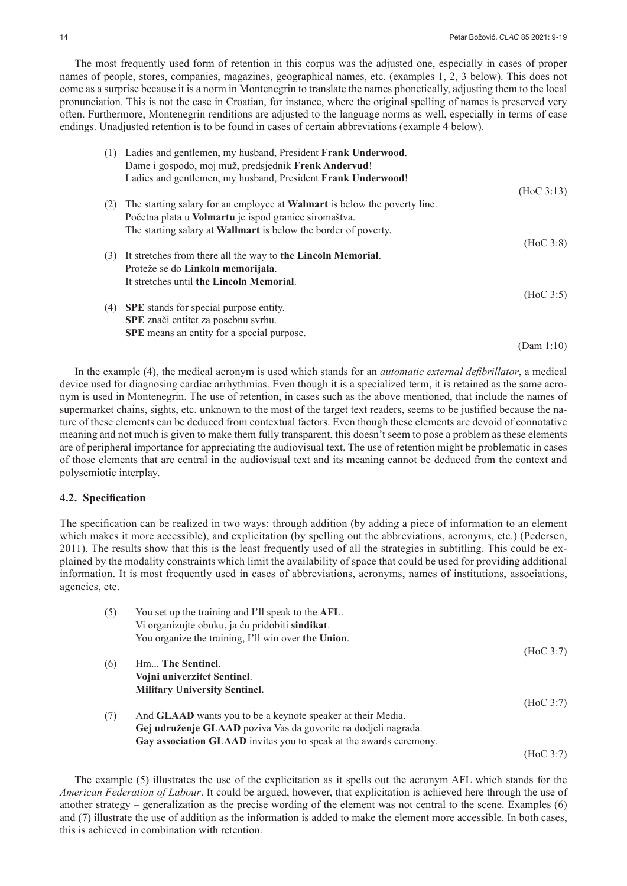The most frequently used form of retention in this corpus was the adjusted one, especially in cases of proper names of people, stores, companies, magazines, geographical names, etc. (examples 1, 2, 3 below). This does not come as a surprise because it is a norm in Montenegrin to translate the names phonetically, adjusting them to the local pronunciation. This is not the case in Croatian, for instance, where the original spelling of names is preserved very often. Furthermore, Montenegrin renditions are adjusted to the language norms as well, especially in terms of case endings. Unadjusted retention is to be found in cases of certain abbreviations (example 4 below).

| (1) | Ladies and gentlemen, my husband, President Frank Underwood.<br>Dame i gospodo, moj muž, predsjednik Frenk Andervud! |            |
|-----|----------------------------------------------------------------------------------------------------------------------|------------|
|     | Ladies and gentlemen, my husband, President Frank Underwood!                                                         | (HoC 3:13) |
| (2) | The starting salary for an employee at <b>Walmart</b> is below the poverty line.                                     |            |
|     | Početna plata u <b>Volmartu</b> je ispod granice siromaštva.                                                         |            |
|     | The starting salary at <b>Wallmart</b> is below the border of poverty.                                               |            |
|     |                                                                                                                      | (HoC 3:8)  |
| (3) | It stretches from there all the way to the Lincoln Memorial.                                                         |            |
|     | Proteže se do Linkoln memorijala.                                                                                    |            |
|     | It stretches until the Lincoln Memorial.                                                                             |            |
|     |                                                                                                                      | (HoC 3:5)  |
| (4) | <b>SPE</b> stands for special purpose entity.                                                                        |            |
|     | SPE znači entitet za posebnu svrhu.                                                                                  |            |
|     | <b>SPE</b> means an entity for a special purpose.                                                                    |            |
|     |                                                                                                                      | (Dam 1:10) |

In the example (4), the medical acronym is used which stands for an *automatic external defibrillator*, a medical device used for diagnosing cardiac arrhythmias. Even though it is a specialized term, it is retained as the same acronym is used in Montenegrin. The use of retention, in cases such as the above mentioned, that include the names of supermarket chains, sights, etc. unknown to the most of the target text readers, seems to be justified because the nature of these elements can be deduced from contextual factors. Even though these elements are devoid of connotative meaning and not much is given to make them fully transparent, this doesn't seem to pose a problem as these elements are of peripheral importance for appreciating the audiovisual text. The use of retention might be problematic in cases of those elements that are central in the audiovisual text and its meaning cannot be deduced from the context and polysemiotic interplay.

#### **4.2. Specification**

The specification can be realized in two ways: through addition (by adding a piece of information to an element which makes it more accessible), and explicitation (by spelling out the abbreviations, acronyms, etc.) (Pedersen, 2011). The results show that this is the least frequently used of all the strategies in subtitling. This could be explained by the modality constraints which limit the availability of space that could be used for providing additional information. It is most frequently used in cases of abbreviations, acronyms, names of institutions, associations, agencies, etc.

| (5) | You set up the training and I'll speak to the AFL.                 |           |
|-----|--------------------------------------------------------------------|-----------|
|     | Vi organizujte obuku, ja ću pridobiti sindikat.                    |           |
|     | You organize the training, I'll win over the Union.                |           |
|     |                                                                    | (HoC 3:7) |
| (6) | Hm The Sentinel.                                                   |           |
|     | Vojni univerzitet Sentinel.                                        |           |
|     | <b>Military University Sentinel.</b>                               |           |
|     |                                                                    | (HoC 3:7) |
| (7) | And <b>GLAAD</b> wants you to be a keynote speaker at their Media. |           |
|     | Gej udruženje GLAAD poziva Vas da govorite na dodjeli nagrada.     |           |
|     | Gay association GLAAD invites you to speak at the awards ceremony. |           |
|     |                                                                    | (HoC 3:7) |

The example (5) illustrates the use of the explicitation as it spells out the acronym AFL which stands for the *American Federation of Labour*. It could be argued, however, that explicitation is achieved here through the use of another strategy – generalization as the precise wording of the element was not central to the scene. Examples (6) and (7) illustrate the use of addition as the information is added to make the element more accessible. In both cases, this is achieved in combination with retention.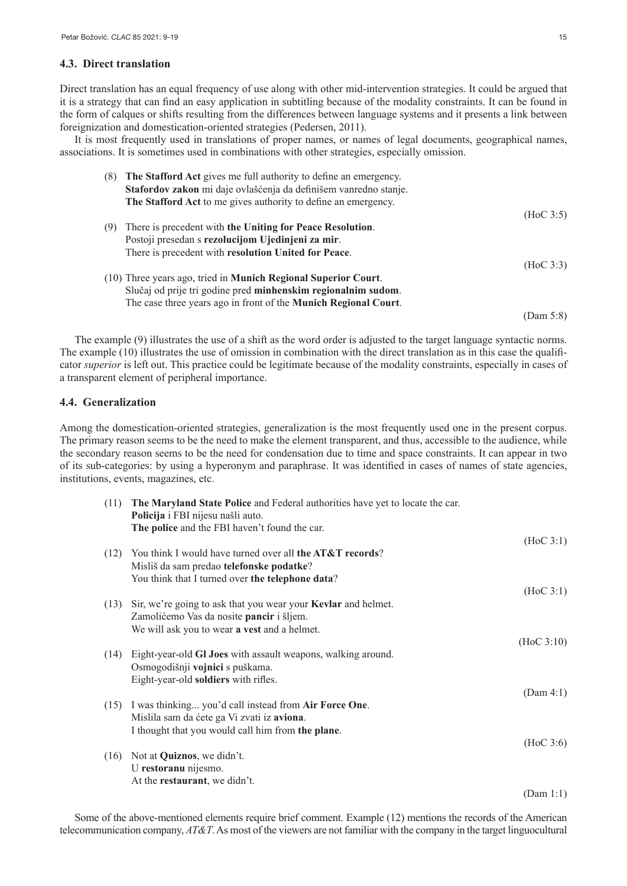#### **4.3. Direct translation**

Direct translation has an equal frequency of use along with other mid-intervention strategies. It could be argued that it is a strategy that can find an easy application in subtitling because of the modality constraints. It can be found in the form of calques or shifts resulting from the differences between language systems and it presents a link between foreignization and domestication-oriented strategies (Pedersen, 2011).

It is most frequently used in translations of proper names, or names of legal documents, geographical names, associations. It is sometimes used in combinations with other strategies, especially omission.

| (8) | The Stafford Act gives me full authority to define an emergency.       |           |
|-----|------------------------------------------------------------------------|-----------|
|     | Stafordov zakon mi daje ovlašćenja da definišem vanredno stanje.       |           |
|     | The Stafford Act to me gives authority to define an emergency.         |           |
|     |                                                                        | (HoC 3:5) |
| (9) | There is precedent with the Uniting for Peace Resolution.              |           |
|     | Postoji presedan s rezolucijom Ujedinjeni za mir.                      |           |
|     | There is precedent with resolution United for Peace.                   |           |
|     |                                                                        | (HoC 3:3) |
|     | (10) Three years ago, tried in <b>Munich Regional Superior Court</b> . |           |
|     | Slučaj od prije tri godine pred minhenskim regionalnim sudom.          |           |
|     | The case three years ago in front of the Munich Regional Court.        |           |
|     |                                                                        | (Dam 5:8) |

The example (9) illustrates the use of a shift as the word order is adjusted to the target language syntactic norms. The example (10) illustrates the use of omission in combination with the direct translation as in this case the qualificator *superior* is left out. This practice could be legitimate because of the modality constraints, especially in cases of a transparent element of peripheral importance.

#### **4.4. Generalization**

Among the domestication-oriented strategies, generalization is the most frequently used one in the present corpus. The primary reason seems to be the need to make the element transparent, and thus, accessible to the audience, while the secondary reason seems to be the need for condensation due to time and space constraints. It can appear in two of its sub-categories: by using a hyperonym and paraphrase. It was identified in cases of names of state agencies, institutions, events, magazines, etc.

| (11) | The Maryland State Police and Federal authorities have yet to locate the car.<br>Policija i FBI nijesu našli auto.<br>The police and the FBI haven't found the car. |            |
|------|---------------------------------------------------------------------------------------------------------------------------------------------------------------------|------------|
|      |                                                                                                                                                                     | (HoC 3:1)  |
| (12) | You think I would have turned over all the AT&T records?                                                                                                            |            |
|      | Misliš da sam predao telefonske podatke?                                                                                                                            |            |
|      | You think that I turned over the telephone data?                                                                                                                    |            |
|      |                                                                                                                                                                     | (HoC 3:1)  |
| (13) | Sir, we're going to ask that you wear your <b>Kevlar</b> and helmet.                                                                                                |            |
|      | Zamolićemo Vas da nosite pancir i šljem.                                                                                                                            |            |
|      | We will ask you to wear a vest and a helmet.                                                                                                                        |            |
|      |                                                                                                                                                                     | (HoC 3:10) |
| (14) | Eight-year-old GI Joes with assault weapons, walking around.                                                                                                        |            |
|      | Osmogodišnji vojnici s puškama.                                                                                                                                     |            |
|      | Eight-year-old soldiers with rifles.                                                                                                                                | (Dam 4:1)  |
| (15) | I was thinking you'd call instead from Air Force One.                                                                                                               |            |
|      | Mislila sam da ćete ga Vi zvati iz aviona.                                                                                                                          |            |
|      | I thought that you would call him from the plane.                                                                                                                   |            |
|      |                                                                                                                                                                     | (HoC 3:6)  |
| (16) | Not at Quiznos, we didn't.                                                                                                                                          |            |
|      | U restoranu nijesmo.                                                                                                                                                |            |
|      | At the restaurant, we didn't.                                                                                                                                       |            |
|      |                                                                                                                                                                     | (Dam 1:1)  |

Some of the above-mentioned elements require brief comment. Example (12) mentions the records of the American telecommunication company, *AT&T*. As most of the viewers are not familiar with the company in the target linguocultural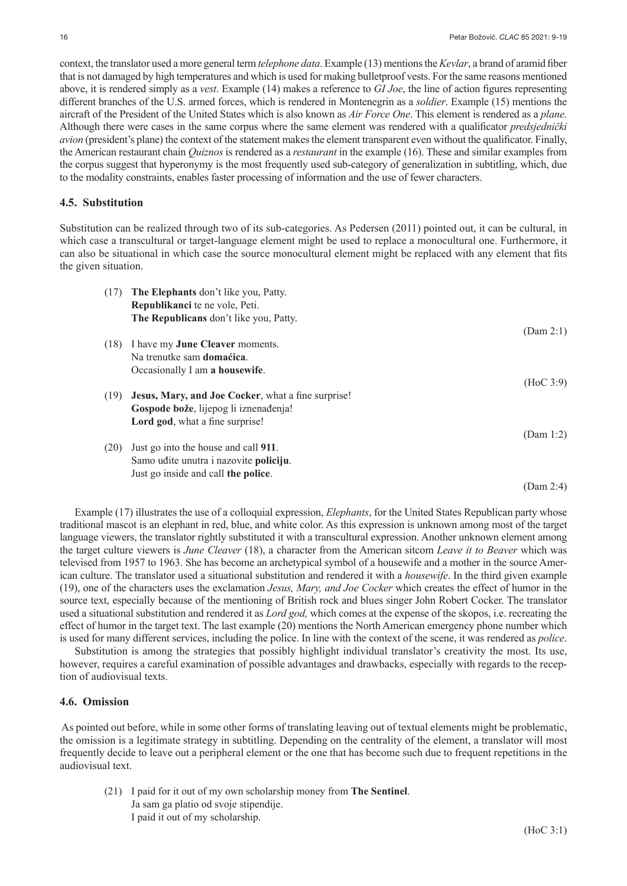context, the translator used a more general term *telephone data*. Example (13) mentions the *Kevlar*, a brand of aramid fiber that is not damaged by high temperatures and which is used for making bulletproof vests. For the same reasons mentioned above, it is rendered simply as a *vest*. Example (14) makes a reference to *GI Joe*, the line of action figures representing different branches of the U.S. armed forces, which is rendered in Montenegrin as a *soldier*. Example (15) mentions the aircraft of the President of the United States which is also known as *Air Force One*. This element is rendered as a *plane.*  Although there were cases in the same corpus where the same element was rendered with a qualificator *predsjednički avion* (president's plane) the context of the statement makes the element transparent even without the qualificator. Finally, the American restaurant chain *Quiznos* is rendered as a *restaurant* in the example (16). These and similar examples from the corpus suggest that hyperonymy is the most frequently used sub-category of generalization in subtitling, which, due to the modality constraints, enables faster processing of information and the use of fewer characters.

#### **4.5. Substitution**

Substitution can be realized through two of its sub-categories. As Pedersen (2011) pointed out, it can be cultural, in which case a transcultural or target-language element might be used to replace a monocultural one. Furthermore, it can also be situational in which case the source monocultural element might be replaced with any element that fits the given situation.

| (17) | The Elephants don't like you, Patty.               |           |
|------|----------------------------------------------------|-----------|
|      | Republikanci te ne vole, Peti.                     |           |
|      | The Republicans don't like you, Patty.             |           |
|      |                                                    | (Dam 2:1) |
| (18) | I have my <b>June Cleaver</b> moments.             |           |
|      | Na trenutke sam <b>domaćica</b> .                  |           |
|      | Occasionally I am a housewife.                     |           |
|      |                                                    | (HoC 3:9) |
| (19) | Jesus, Mary, and Joe Cocker, what a fine surprise! |           |
|      | Gospode bože, lijepog li iznenađenja!              |           |
|      | Lord god, what a fine surprise!                    |           |
|      |                                                    | (Dam 1:2) |
| (20) | Just go into the house and call 911.               |           |
|      | Samo udite unutra i nazovite policiju.             |           |
|      | Just go inside and call the police.                |           |
|      |                                                    | (Dam 2:4) |

Example (17) illustrates the use of a colloquial expression, *Elephants*, for the United States Republican party whose traditional mascot is an elephant in red, blue, and white color. As this expression is unknown among most of the target language viewers, the translator rightly substituted it with a transcultural expression. Another unknown element among the target culture viewers is *June Cleaver* (18), a character from the American sitcom *Leave it to Beaver* which was televised from 1957 to 1963. She has become an archetypical symbol of a housewife and a mother in the source American culture. The translator used a situational substitution and rendered it with a *housewife*. In the third given example (19), one of the characters uses the exclamation *Jesus, Mary, and Joe Cocker* which creates the effect of humor in the source text, especially because of the mentioning of British rock and blues singer John Robert Cocker. The translator used a situational substitution and rendered it as *Lord god,* which comes at the expense of the skopos, i.e. recreating the effect of humor in the target text. The last example (20) mentions the North American emergency phone number which is used for many different services, including the police. In line with the context of the scene, it was rendered as *police*.

Substitution is among the strategies that possibly highlight individual translator's creativity the most. Its use, however, requires a careful examination of possible advantages and drawbacks, especially with regards to the reception of audiovisual texts.

#### **4.6. Omission**

 As pointed out before, while in some other forms of translating leaving out of textual elements might be problematic, the omission is a legitimate strategy in subtitling. Depending on the centrality of the element, a translator will most frequently decide to leave out a peripheral element or the one that has become such due to frequent repetitions in the audiovisual text.

(21) I paid for it out of my own scholarship money from **The Sentinel**. Ja sam ga platio od svoje stipendije. I paid it out of my scholarship.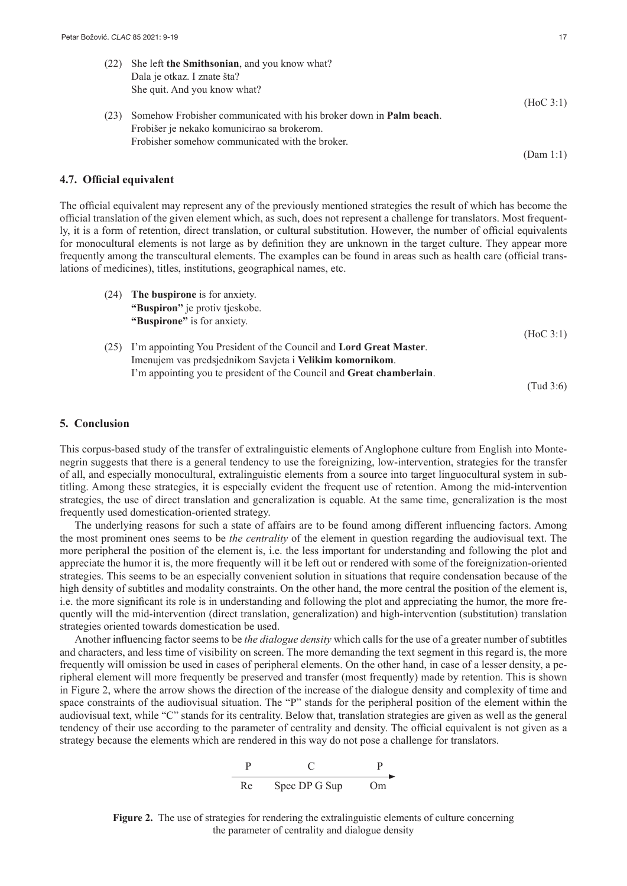| (22) | She left the Smithsonian, and you know what?                               |           |
|------|----------------------------------------------------------------------------|-----------|
|      | Dala je otkaz. I znate šta?                                                |           |
|      | She quit. And you know what?                                               |           |
|      |                                                                            | (HoC 3:1) |
| (23) | Somehow Frobisher communicated with his broker down in <b>Palm beach</b> . |           |
|      | Frobišer je nekako komunicirao sa brokerom.                                |           |
|      | Frobisher somehow communicated with the broker.                            |           |
|      |                                                                            | (Dam 1:1) |

#### **4.7. Official equivalent**

The official equivalent may represent any of the previously mentioned strategies the result of which has become the official translation of the given element which, as such, does not represent a challenge for translators. Most frequently, it is a form of retention, direct translation, or cultural substitution. However, the number of official equivalents for monocultural elements is not large as by definition they are unknown in the target culture. They appear more frequently among the transcultural elements. The examples can be found in areas such as health care (official translations of medicines), titles, institutions, geographical names, etc.

| (24) | The buspirone is for anxiety.                                         |           |
|------|-----------------------------------------------------------------------|-----------|
|      | "Buspiron" je protiv tjeskobe.                                        |           |
|      | "Buspirone" is for anxiety.                                           |           |
|      |                                                                       | (HoC 3:1) |
| (25) | I'm appointing You President of the Council and Lord Great Master.    |           |
|      | Imenujem vas predsjednikom Savjeta i Velikim komornikom.              |           |
|      | I'm appointing you te president of the Council and Great chamberlain. |           |
|      |                                                                       | (Tud 3:6) |

#### **5. Conclusion**

This corpus-based study of the transfer of extralinguistic elements of Anglophone culture from English into Montenegrin suggests that there is a general tendency to use the foreignizing, low-intervention, strategies for the transfer of all, and especially monocultural, extralinguistic elements from a source into target linguocultural system in subtitling. Among these strategies, it is especially evident the frequent use of retention. Among the mid-intervention strategies, the use of direct translation and generalization is equable. At the same time, generalization is the most frequently used domestication-oriented strategy.

The underlying reasons for such a state of affairs are to be found among different influencing factors. Among the most prominent ones seems to be *the centrality* of the element in question regarding the audiovisual text. The more peripheral the position of the element is, i.e. the less important for understanding and following the plot and appreciate the humor it is, the more frequently will it be left out or rendered with some of the foreignization-oriented strategies. This seems to be an especially convenient solution in situations that require condensation because of the high density of subtitles and modality constraints. On the other hand, the more central the position of the element is, i.e. the more significant its role is in understanding and following the plot and appreciating the humor, the more frequently will the mid-intervention (direct translation, generalization) and high-intervention (substitution) translation strategies oriented towards domestication be used.

Another influencing factor seems to be *the dialogue density* which calls for the use of a greater number of subtitles and characters, and less time of visibility on screen. The more demanding the text segment in this regard is, the more frequently will omission be used in cases of peripheral elements. On the other hand, in case of a lesser density, a peripheral element will more frequently be preserved and transfer (most frequently) made by retention. This is shown in Figure 2, where the arrow shows the direction of the increase of the dialogue density and complexity of time and space constraints of the audiovisual situation. The "P" stands for the peripheral position of the element within the audiovisual text, while "C" stands for its centrality. Below that, translation strategies are given as well as the general tendency of their use according to the parameter of centrality and density. The official equivalent is not given as a strategy because the elements which are rendered in this way do not pose a challenge for translators.

$$
\begin{array}{c|c}\n P & C & P \\
\hline\n \text{Re} & \text{Spec DP G Sup} & \text{Om}\n \end{array}
$$

**Figure 2.** The use of strategies for rendering the extralinguistic elements of culture concerning the parameter of centrality and dialogue density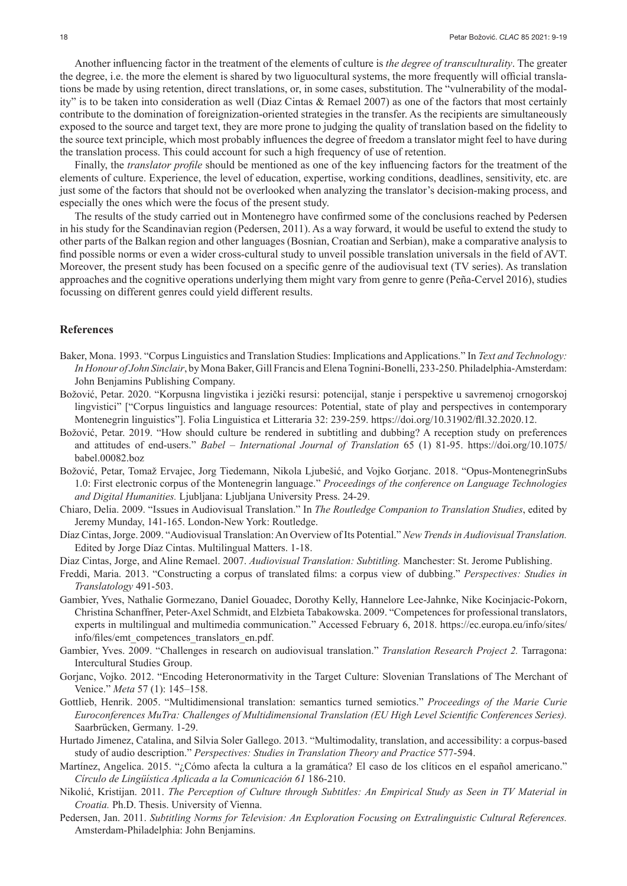Another influencing factor in the treatment of the elements of culture is *the degree of transculturality*. The greater the degree, i.e. the more the element is shared by two liguocultural systems, the more frequently will official translations be made by using retention, direct translations, or, in some cases, substitution. The "vulnerability of the modality" is to be taken into consideration as well (Diaz Cintas & Remael 2007) as one of the factors that most certainly contribute to the domination of foreignization-oriented strategies in the transfer. As the recipients are simultaneously exposed to the source and target text, they are more prone to judging the quality of translation based on the fidelity to the source text principle, which most probably influences the degree of freedom a translator might feel to have during the translation process. This could account for such a high frequency of use of retention.

Finally, the *translator profile* should be mentioned as one of the key influencing factors for the treatment of the elements of culture. Experience, the level of education, expertise, working conditions, deadlines, sensitivity, etc. are just some of the factors that should not be overlooked when analyzing the translator's decision-making process, and especially the ones which were the focus of the present study.

The results of the study carried out in Montenegro have confirmed some of the conclusions reached by Pedersen in his study for the Scandinavian region (Pedersen, 2011). As a way forward, it would be useful to extend the study to other parts of the Balkan region and other languages (Bosnian, Croatian and Serbian), make a comparative analysis to find possible norms or even a wider cross-cultural study to unveil possible translation universals in the field of AVT. Moreover, the present study has been focused on a specific genre of the audiovisual text (TV series). As translation approaches and the cognitive operations underlying them might vary from genre to genre (Peña-Cervel 2016), studies focussing on different genres could yield different results.

#### **References**

- Baker, Mona. 1993. "Corpus Linguistics and Translation Studies: Implications and Applications." In *Text and Technology: In Honour of John Sinclair*, by Mona Baker, Gill Francis and Elena Tognini-Bonelli, 233-250. Philadelphia-Amsterdam: John Benjamins Publishing Company.
- Božović, Petar. 2020. "Korpusna lingvistika i jezički resursi: potencijal, stanje i perspektive u savremenoj crnogorskoj lingvistici" ["Corpus linguistics and language resources: Potential, state of play and perspectives in contemporary Montenegrin linguistics"]. Folia Linguistica et Litteraria 32: 239-259. [https://doi.org/10.31902/fll.32.2020.12.](https://doi.org/10.31902/fll.32.2020.12)
- Božović, Petar. 2019. "How should culture be rendered in subtitling and dubbing? A reception study on preferences and attitudes of end-users." *Babel – International Journal of Translation* 65 (1) 81-95. [https://doi.org/10.1075/](https://doi.org/10.1075/babel.00082.boz) [babel.00082.boz](https://doi.org/10.1075/babel.00082.boz)
- Božović, Petar, Tomaž Ervajec, Jorg Tiedemann, Nikola Ljubešić, and Vojko Gorjanc. 2018. "Opus-MontenegrinSubs 1.0: First electronic corpus of the Montenegrin language." *Proceedings of the conference on Language Technologies and Digital Humanities.* Ljubljana: Ljubljana University Press. 24-29.
- Chiaro, Delia. 2009. "Issues in Audiovisual Translation." In *The Routledge Companion to Translation Studies*, edited by Jeremy Munday, 141-165. London-New York: Routledge.
- Díaz Cintas, Jorge. 2009. "Audiovisual Translation: An Overview of Its Potential." *New Trends in Audiovisual Translation.* Edited by Jorge Díaz Cintas. Multilingual Matters. 1-18.

Diaz Cintas, Jorge, and Aline Remael. 2007. *Audiovisual Translation: Subtitling.* Manchester: St. Jerome Publishing.

- Freddi, Maria. 2013. "Constructing a corpus of translated films: a corpus view of dubbing." *Perspectives: Studies in Translatology* 491-503.
- Gambier, Yves, Nathalie Gormezano, Daniel Gouadec, Dorothy Kelly, Hannelore Lee-Jahnke, Nike Kocinjacic-Pokorn, Christina Schanffner, Peter-Axel Schmidt, and Elzbieta Tabakowska. 2009. "Competences for professional translators, experts in multilingual and multimedia communication." Accessed February 6, 2018. [https://ec.europa.eu/info/sites/](https://ec.europa.eu/info/sites/info/files/emt_competences_translators_en.pdf) [info/files/emt\\_competences\\_translators\\_en.pdf.](https://ec.europa.eu/info/sites/info/files/emt_competences_translators_en.pdf)
- Gambier, Yves. 2009. "Challenges in research on audiovisual translation." *Translation Research Project 2.* Tarragona: Intercultural Studies Group.
- Gorjanc, Vojko. 2012. "Encoding Heteronormativity in the Target Culture: Slovenian Translations of The Merchant of Venice." *Meta* 57 (1): 145–158.
- Gottlieb, Henrik. 2005. "Multidimensional translation: semantics turned semiotics." *Proceedings of the Marie Curie Euroconferences MuTra: Challenges of Multidimensional Translation (EU High Level Scientific Conferences Series).* Saarbrücken, Germany. 1-29.
- Hurtado Jimenez, Catalina, and Silvia Soler Gallego. 2013. "Multimodality, translation, and accessibility: a corpus-based study of audio description." *Perspectives: Studies in Translation Theory and Practice* 577-594.
- Martínez, Angelica. 2015. "¿Cómo afecta la cultura a la gramática? El caso de los clíticos en el español americano." *Círculo de Lingüística Aplicada a la Comunicación 61* 186-210.
- Nikolić, Kristijan. 2011. *The Perception of Culture through Subtitles: An Empirical Study as Seen in TV Material in Croatia.* Ph.D. Thesis. University of Vienna.
- Pedersen, Jan. 2011. *Subtitling Norms for Television: An Exploration Focusing on Extralinguistic Cultural References.* Amsterdam-Philadelphia: John Benjamins.